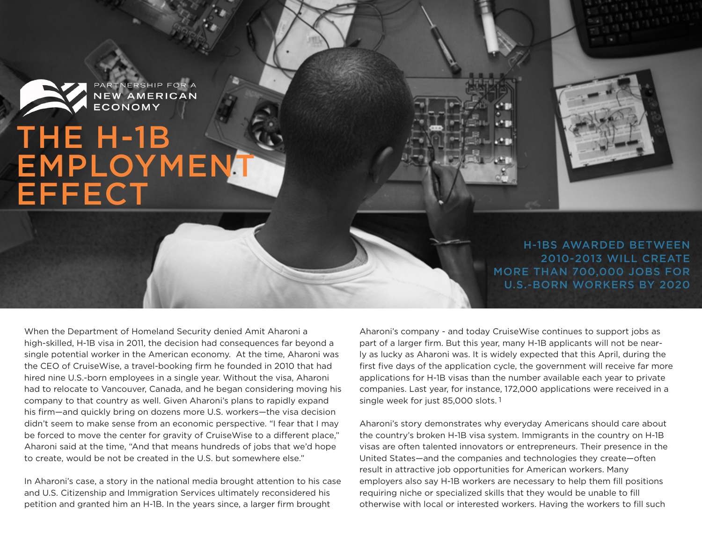

PARTNERSHIP FOR A<br>**NEW AMERICAN**<br>**ECONOMY** 

## THE H-1B EMPLOYMENT **EFFECT**

H-1BS AWARDED BETWEEN 2010-2013 WILL CREATE MORE THAN 700,000 JOBS FOR U.S.-BORN WORKERS BY 2020

When the Department of Homeland Security denied Amit Aharoni a high-skilled, H-1B visa in 2011, the decision had consequences far beyond a single potential worker in the American economy. At the time, Aharoni was the CEO of CruiseWise, a travel-booking firm he founded in 2010 that had hired nine U.S.-born employees in a single year. Without the visa, Aharoni had to relocate to Vancouver, Canada, and he began considering moving his company to that country as well. Given Aharoni's plans to rapidly expand his firm—and quickly bring on dozens more U.S. workers—the visa decision didn't seem to make sense from an economic perspective. "I fear that I may be forced to move the center for gravity of CruiseWise to a different place," Aharoni said at the time, "And that means hundreds of jobs that we'd hope to create, would be not be created in the U.S. but somewhere else."

In Aharoni's case, a story in the national media brought attention to his case and U.S. Citizenship and Immigration Services ultimately reconsidered his petition and granted him an H-1B. In the years since, a larger firm brought

Aharoni's company - and today CruiseWise continues to support jobs as part of a larger firm. But this year, many H-1B applicants will not be nearly as lucky as Aharoni was. It is widely expected that this April, during the first five days of the application cycle, the government will receive far more applications for H-1B visas than the number available each year to private companies. Last year, for instance, 172,000 applications were received in a single week for just 85,000 slots. 1

Aharoni's story demonstrates why everyday Americans should care about the country's broken H-1B visa system. Immigrants in the country on H-1B visas are often talented innovators or entrepreneurs. Their presence in the United States—and the companies and technologies they create—often result in attractive job opportunities for American workers. Many employers also say H-1B workers are necessary to help them fill positions requiring niche or specialized skills that they would be unable to fill otherwise with local or interested workers. Having the workers to fill such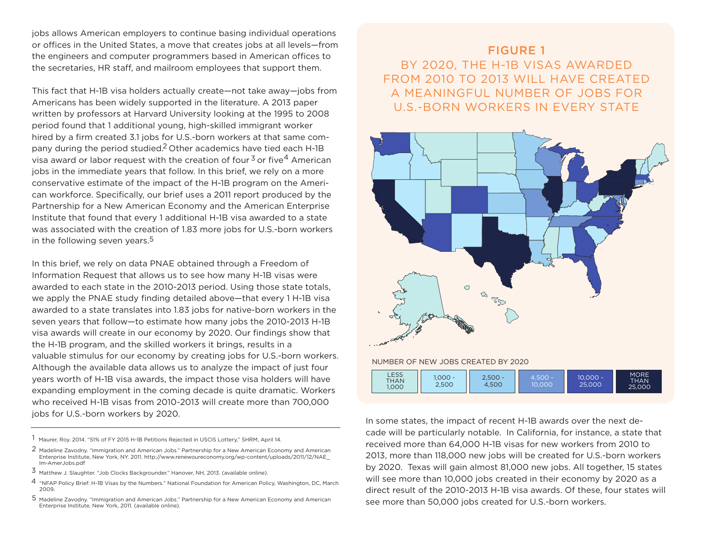jobs allows American employers to continue basing individual operations or offices in the United States, a move that creates jobs at all levels—from the engineers and computer programmers based in American offices to the secretaries, HR staff, and mailroom employees that support them.

This fact that H-1B visa holders actually create—not take away—jobs from Americans has been widely supported in the literature. A 2013 paper written by professors at Harvard University looking at the 1995 to 2008 period found that 1 additional young, high-skilled immigrant worker hired by a firm created 3.1 jobs for U.S.-born workers at that same company during the period studied.<sup>2</sup> Other academics have tied each H-1B visa award or labor request with the creation of four <sup>3</sup> or five  $^4$  American jobs in the immediate years that follow. In this brief, we rely on a more conservative estimate of the impact of the H-1B program on the American workforce. Specifically, our brief uses a 2011 report produced by the Partnership for a New American Economy and the American Enterprise Institute that found that every 1 additional H-1B visa awarded to a state was associated with the creation of 1.83 more jobs for U.S.-born workers in the following seven years. 5

In this brief, we rely on data PNAE obtained through a Freedom of Information Request that allows us to see how many H-1B visas were awarded to each state in the 2010-2013 period. Using those state totals, we apply the PNAE study finding detailed above—that every 1 H-1B visa awarded to a state translates into 1.83 jobs for native-born workers in the seven years that follow—to estimate how many jobs the 2010-2013 H-1B visa awards will create in our economy by 2020. Our findings show that the H-1B program, and the skilled workers it brings, results in a valuable stimulus for our economy by creating jobs for U.S.-born workers. Although the available data allows us to analyze the impact of just four years worth of H-1B visa awards, the impact those visa holders will have expanding employment in the coming decade is quite dramatic. Workers who received H-1B visas from 2010-2013 will create more than 700,000 jobs for U.S.-born workers by 2020.

1 Maurer, Roy. 2014. "51% of FY 2015 H-1B Petitions Rejected in USCIS Lottery," SHRM, April 14.

- 2 Madeline Zavodny. "Immigration and American Jobs." Partnership for a New American Economy and American Enterprise Institute, New York, NY. 2011. http://www.renewoureconomy.org/wp-content/uploads/2011/12/NAE\_ Im-AmerJobs.pdf
- 3 Matthew J. Slaughter. "Job Clocks Backgrounder." Hanover, NH, 2013. (available online).
- 4 "NFAP Policy Brief: H-1B Visas by the Numbers." National Foundation for American Policy, Washington, DC, March 2009.
- 5 Madeline Zavodny. "Immigration and American Jobs." Partnership for a New American Economy and American Enterprise Institute, New York, 2011. (available online).

## FIGURE 1 BY 2020, THE H-1B VISAS AWARDED FROM 2010 TO 2013 WILL HAVE CREATED A MEANINGFUL NUMBER OF JOBS FOR U.S.-BORN WORKERS IN EVERY STATE



In some states, the impact of recent H-1B awards over the next decade will be particularly notable. In California, for instance, a state that received more than 64,000 H-1B visas for new workers from 2010 to 2013, more than 118,000 new jobs will be created for U.S.-born workers by 2020. Texas will gain almost 81,000 new jobs. All together, 15 states will see more than 10,000 jobs created in their economy by 2020 as a direct result of the 2010-2013 H-1B visa awards. Of these, four states will see more than 50,000 jobs created for U.S.-born workers.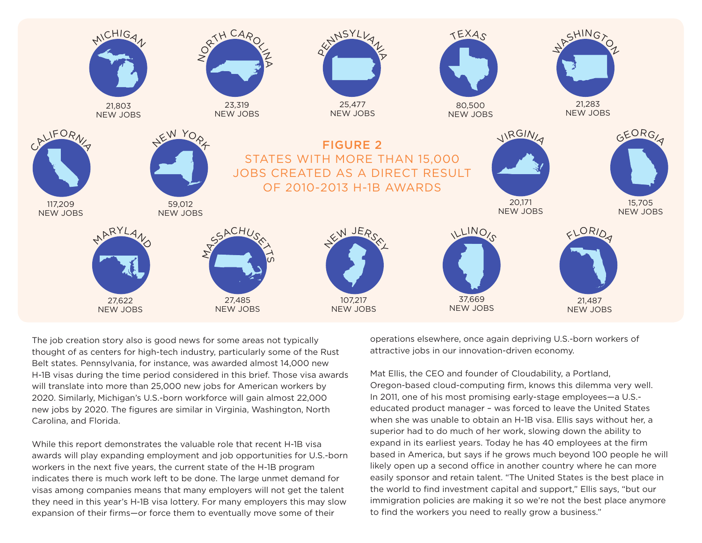

The job creation story also is good news for some areas not typically thought of as centers for high-tech industry, particularly some of the Rust Belt states. Pennsylvania, for instance, was awarded almost 14,000 new H-1B visas during the time period considered in this brief. Those visa awards will translate into more than 25,000 new jobs for American workers by 2020. Similarly, Michigan's U.S.-born workforce will gain almost 22,000 new jobs by 2020. The figures are similar in Virginia, Washington, North Carolina, and Florida.

While this report demonstrates the valuable role that recent H-1B visa awards will play expanding employment and job opportunities for U.S.-born workers in the next five years, the current state of the H-1B program indicates there is much work left to be done. The large unmet demand for visas among companies means that many employers will not get the talent they need in this year's H-1B visa lottery. For many employers this may slow expansion of their firms—or force them to eventually move some of their

operations elsewhere, once again depriving U.S.-born workers of attractive jobs in our innovation-driven economy.

Mat Ellis, the CEO and founder of Cloudability, a Portland, Oregon-based cloud-computing firm, knows this dilemma very well. In 2011, one of his most promising early-stage employees—a U.S. educated product manager – was forced to leave the United States when she was unable to obtain an H-1B visa. Ellis says without her, a superior had to do much of her work, slowing down the ability to expand in its earliest years. Today he has 40 employees at the firm based in America, but says if he grows much beyond 100 people he will likely open up a second office in another country where he can more easily sponsor and retain talent. "The United States is the best place in the world to find investment capital and support," Ellis says, "but our immigration policies are making it so we're not the best place anymore to find the workers you need to really grow a business."